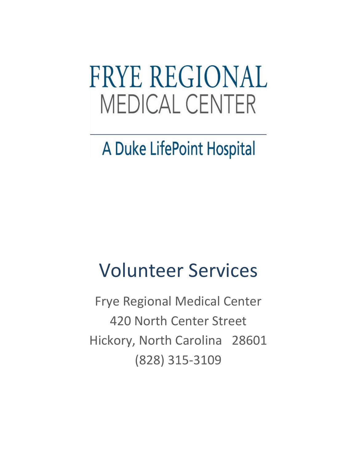# **FRYE REGIONAL MEDICAL CENTER**

## A Duke LifePoint Hospital

# Volunteer Services

Frye Regional Medical Center 420 North Center Street Hickory, North Carolina 28601 (828) 315-3109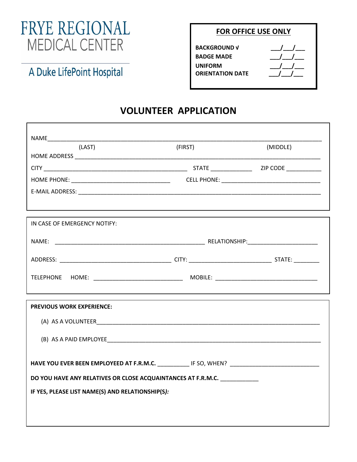### FRYE REGIONAL **MEDICAL CENTER**

#### **FOR OFFICE USE ONLY**

| <b>BACKGROUND √</b>     |                           |
|-------------------------|---------------------------|
| <b>BADGE MADE</b>       | $\mathbf{1}$ $\mathbf{1}$ |
| UNIFORM                 |                           |
| <b>ORIENTATION DATE</b> |                           |
|                         |                           |

### A Duke LifePoint Hospital

#### **VOLUNTEER APPLICATION**

| (LAST)                                                                                              | (FIRST) | (MIDDLE) |
|-----------------------------------------------------------------------------------------------------|---------|----------|
|                                                                                                     |         |          |
|                                                                                                     |         |          |
|                                                                                                     |         |          |
|                                                                                                     |         |          |
|                                                                                                     |         |          |
| IN CASE OF EMERGENCY NOTIFY:                                                                        |         |          |
|                                                                                                     |         |          |
|                                                                                                     |         |          |
|                                                                                                     |         |          |
|                                                                                                     |         |          |
| <b>PREVIOUS WORK EXPERIENCE:</b>                                                                    |         |          |
|                                                                                                     |         |          |
|                                                                                                     |         |          |
|                                                                                                     |         |          |
| HAVE YOU EVER BEEN EMPLOYEED AT F.R.M.C. _____________ IF SO, WHEN? _______________________________ |         |          |
| DO YOU HAVE ANY RELATIVES OR CLOSE ACQUAINTANCES AT F.R.M.C.                                        |         |          |
| IF YES, PLEASE LIST NAME(S) AND RELATIONSHIP(S):                                                    |         |          |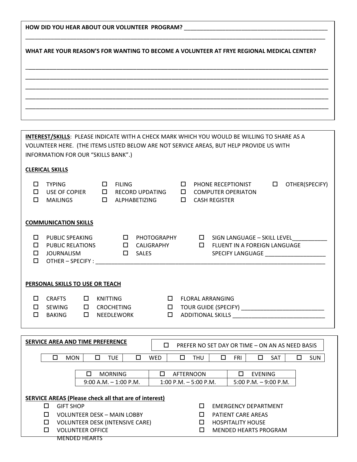| HOW DID YOU HEAR ABOUT OUR VOLUNTEER PROGRAM?                                                      |  |  |  |  |
|----------------------------------------------------------------------------------------------------|--|--|--|--|
|                                                                                                    |  |  |  |  |
| WHAT ARE YOUR REASON'S FOR WANTING TO BECOME A VOLUNTEER AT FRYE REGIONAL MEDICAL CENTER?          |  |  |  |  |
|                                                                                                    |  |  |  |  |
|                                                                                                    |  |  |  |  |
|                                                                                                    |  |  |  |  |
|                                                                                                    |  |  |  |  |
|                                                                                                    |  |  |  |  |
|                                                                                                    |  |  |  |  |
| <b>INTEREST/SKILLS: PLEASE INDICATE WITH A CHECK MARK WHICH YOU WOULD BE WILLING TO SHARE AS A</b> |  |  |  |  |
| VOLUNTEER HERE. (THE ITEMS LISTED BELOW ARE NOT SERVICE AREAS, BUT HELP PROVIDE US WITH            |  |  |  |  |
| INFORMATION FOR OUR "SKILLS BANK".)                                                                |  |  |  |  |
| <b>CLERICAL SKILLS</b>                                                                             |  |  |  |  |

| П<br>п<br>□           | <b>TYPING</b><br>USE OF COPIER<br><b>MAILINGS</b>                             |             | □<br><b>FILING</b><br>0<br>$\Box$                         | <b>RECORD UPDATING</b><br>ALPHABETIZING          | п<br>□<br>$\Box$ |                                                                                                                                                                             | PHONE RECEPTIONIST<br><b>COMPUTER OPERIATON</b><br><b>CASH REGISTER</b>                                         | □ | OTHER(SPECIFY) |
|-----------------------|-------------------------------------------------------------------------------|-------------|-----------------------------------------------------------|--------------------------------------------------|------------------|-----------------------------------------------------------------------------------------------------------------------------------------------------------------------------|-----------------------------------------------------------------------------------------------------------------|---|----------------|
|                       | <b>COMMUNICATION SKILLS</b>                                                   |             |                                                           |                                                  |                  |                                                                                                                                                                             |                                                                                                                 |   |                |
| □<br>$\Box$<br>□<br>□ | PUBLIC SPEAKING<br><b>PUBLIC RELATIONS</b><br>JOURNALISM<br>OTHER - SPECIFY : |             | 0<br>0<br>$\Box$                                          | <b>PHOTOGRAPHY</b><br>CALIGRAPHY<br><b>SALES</b> |                  | $\Box$<br>$\Box$                                                                                                                                                            | SIGN LANGUAGE – SKILL LEVEL<br>FLUENT IN A FOREIGN LANGUAGE<br>SPECIFY LANGUAGE THE CONTROL OF SPECIFY LANGUAGE |   |                |
|                       | PERSONAL SKILLS TO USE OR TEACH                                               |             |                                                           |                                                  |                  |                                                                                                                                                                             |                                                                                                                 |   |                |
| п<br>□<br>□           | <b>CRAFTS</b><br><b>SEWING</b><br><b>BAKING</b>                               | □<br>□<br>□ | <b>KNITTING</b><br><b>CROCHETING</b><br><b>NEEDLEWORK</b> | П<br>0<br>□                                      |                  | <b>FLORAL ARRANGING</b><br><b>ADDITIONAL SKILLS</b><br><u> 1980 - Jan James James Barbara, político establecente de la propia de la propia de la propia de la propia de</u> |                                                                                                                 |   |                |

| SERVICE AREA AND TIME PREFERENCE |                                                      |  |                  | П                                                             |                               | PREFER NO SET DAY OR TIME - ON AN AS NEED BASIS              |            |   |                  |   |            |                              |            |   |            |
|----------------------------------|------------------------------------------------------|--|------------------|---------------------------------------------------------------|-------------------------------|--------------------------------------------------------------|------------|---|------------------|---|------------|------------------------------|------------|---|------------|
|                                  |                                                      |  | <b>MON</b>       | □                                                             | <b>TUE</b>                    | □                                                            | <b>WED</b> | □ | <b>THU</b>       | □ | <b>FRI</b> |                              | <b>SAT</b> | □ | <b>SUN</b> |
|                                  |                                                      |  |                  |                                                               |                               |                                                              |            |   |                  |   |            |                              |            |   |            |
|                                  |                                                      |  |                  | П                                                             | <b>MORNING</b>                |                                                              | П          |   | <b>AFTERNOON</b> |   | П          | <b>EVENING</b>               |            |   |            |
|                                  | $9:00$ A.M. $-1:00$ P.M.<br>$1:00$ P.M. $-5:00$ P.M. |  |                  |                                                               |                               | 5:00 P.M. $-9:00$ P.M.                                       |            |   |                  |   |            |                              |            |   |            |
|                                  |                                                      |  |                  |                                                               |                               |                                                              |            |   |                  |   |            |                              |            |   |            |
|                                  |                                                      |  |                  |                                                               |                               | <b>SERVICE AREAS (Please check all that are of interest)</b> |            |   |                  |   |            |                              |            |   |            |
|                                  | п                                                    |  | <b>GIFT SHOP</b> |                                                               |                               |                                                              |            |   | п                |   |            | <b>FMFRGFNCY DFPARTMENT</b>  |            |   |            |
|                                  | □                                                    |  |                  | <b>VOLUNTEER DESK - MAIN LOBBY</b><br>PATIFNT CARF ARFAS<br>П |                               |                                                              |            |   |                  |   |            |                              |            |   |            |
|                                  | □<br><b>VOLUNTEER DESK (INTENSIVE CARE)</b>          |  |                  |                                                               | <b>HOSPITALITY HOUSE</b><br>П |                                                              |            |   |                  |   |            |                              |            |   |            |
|                                  | □                                                    |  |                  | <b>VOLUNTEER OFFICE</b>                                       |                               |                                                              |            |   | П                |   |            | <b>MENDED HEARTS PROGRAM</b> |            |   |            |
|                                  |                                                      |  |                  | <b>MENDED HEARTS</b>                                          |                               |                                                              |            |   |                  |   |            |                              |            |   |            |